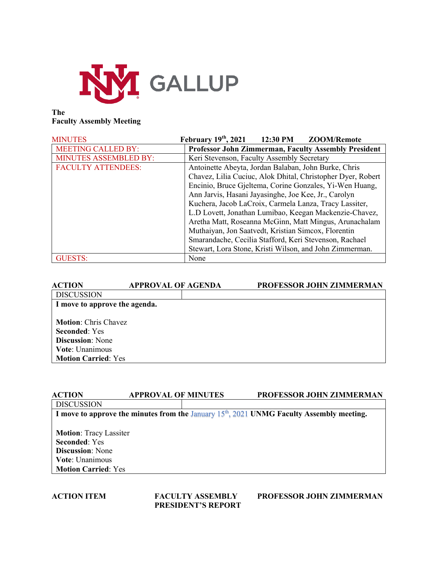

## **The Faculty Assembly Meeting**

| <b>MINUTES</b>               | February $19th$ , 2021<br>12:30 PM<br><b>ZOOM/Remote</b>    |  |
|------------------------------|-------------------------------------------------------------|--|
| <b>MEETING CALLED BY:</b>    | <b>Professor John Zimmerman, Faculty Assembly President</b> |  |
| <b>MINUTES ASSEMBLED BY:</b> | Keri Stevenson, Faculty Assembly Secretary                  |  |
| <b>FACULTY ATTENDEES:</b>    | Antoinette Abeyta, Jordan Balaban, John Burke, Chris        |  |
|                              | Chavez, Lilia Cuciuc, Alok Dhital, Christopher Dyer, Robert |  |
|                              | Encinio, Bruce Gjeltema, Corine Gonzales, Yi-Wen Huang,     |  |
|                              | Ann Jarvis, Hasani Jayasinghe, Joe Kee, Jr., Carolyn        |  |
|                              | Kuchera, Jacob LaCroix, Carmela Lanza, Tracy Lassiter,      |  |
|                              | L.D Lovett, Jonathan Lumibao, Keegan Mackenzie-Chavez,      |  |
|                              | Aretha Matt, Roseanna McGinn, Matt Mingus, Arunachalam      |  |
|                              | Muthaiyan, Jon Saatvedt, Kristian Simcox, Florentin         |  |
|                              | Smarandache, Cecilia Stafford, Keri Stevenson, Rachael      |  |
|                              | Stewart, Lora Stone, Kristi Wilson, and John Zimmerman.     |  |
| <b>GUESTS:</b>               | None                                                        |  |

| <b>ACTION</b>                                                                                                                          | <b>APPROVAL OF AGENDA</b> | <b>PROFESSOR JOHN ZIMMERMAN</b> |
|----------------------------------------------------------------------------------------------------------------------------------------|---------------------------|---------------------------------|
| <b>DISCUSSION</b>                                                                                                                      |                           |                                 |
| I move to approve the agenda.                                                                                                          |                           |                                 |
| <b>Motion:</b> Chris Chavez<br><b>Seconded:</b> Yes<br><b>Discussion:</b> None<br><b>Vote:</b> Unanimous<br><b>Motion Carried: Yes</b> |                           |                                 |

| <b>ACTION</b>                 | <b>APPROVAL OF MINUTES</b> | <b>PROFESSOR JOHN ZIMMERMAN</b>                                                             |
|-------------------------------|----------------------------|---------------------------------------------------------------------------------------------|
| <b>DISCUSSION</b>             |                            |                                                                                             |
|                               |                            | I move to approve the minutes from the January $15th$ , 2021 UNMG Faculty Assembly meeting. |
|                               |                            |                                                                                             |
| <b>Motion: Tracy Lassiter</b> |                            |                                                                                             |
| <b>Seconded: Yes</b>          |                            |                                                                                             |
| <b>Discussion:</b> None       |                            |                                                                                             |
| <b>Vote:</b> Unanimous        |                            |                                                                                             |
| <b>Motion Carried: Yes</b>    |                            |                                                                                             |
|                               |                            |                                                                                             |

**PRESIDENT'S REPORT**

**ACTION ITEM FACULTY ASSEMBLY PROFESSOR JOHN ZIMMERMAN**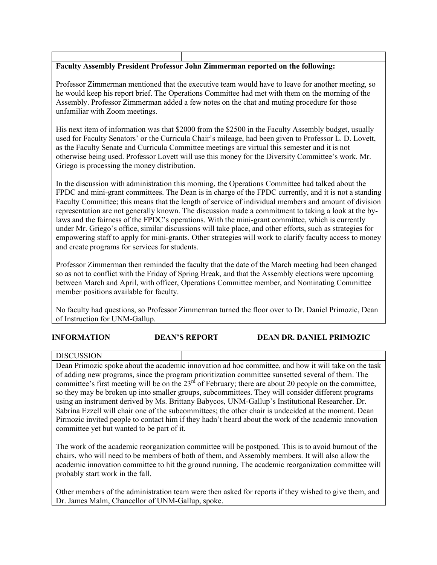## **Faculty Assembly President Professor John Zimmerman reported on the following:**

Professor Zimmerman mentioned that the executive team would have to leave for another meeting, so he would keep his report brief. The Operations Committee had met with them on the morning of the Assembly. Professor Zimmerman added a few notes on the chat and muting procedure for those unfamiliar with Zoom meetings.

His next item of information was that \$2000 from the \$2500 in the Faculty Assembly budget, usually used for Faculty Senators' or the Curricula Chair's mileage, had been given to Professor L. D. Lovett, as the Faculty Senate and Curricula Committee meetings are virtual this semester and it is not otherwise being used. Professor Lovett will use this money for the Diversity Committee's work. Mr. Griego is processing the money distribution.

In the discussion with administration this morning, the Operations Committee had talked about the FPDC and mini-grant committees. The Dean is in charge of the FPDC currently, and it is not a standing Faculty Committee; this means that the length of service of individual members and amount of division representation are not generally known. The discussion made a commitment to taking a look at the bylaws and the fairness of the FPDC's operations. With the mini-grant committee, which is currently under Mr. Griego's office, similar discussions will take place, and other efforts, such as strategies for empowering staff to apply for mini-grants. Other strategies will work to clarify faculty access to money and create programs for services for students.

Professor Zimmerman then reminded the faculty that the date of the March meeting had been changed so as not to conflict with the Friday of Spring Break, and that the Assembly elections were upcoming between March and April, with officer, Operations Committee member, and Nominating Committee member positions available for faculty.

No faculty had questions, so Professor Zimmerman turned the floor over to Dr. Daniel Primozic, Dean of Instruction for UNM-Gallup.

## **INFORMATION DEAN'S REPORT DEAN DR. DANIEL PRIMOZIC**

DISCUSSION

Dean Primozic spoke about the academic innovation ad hoc committee, and how it will take on the task of adding new programs, since the program prioritization committee sunsetted several of them. The committee's first meeting will be on the  $23<sup>rd</sup>$  of February; there are about 20 people on the committee, so they may be broken up into smaller groups, subcommittees. They will consider different programs using an instrument derived by Ms. Brittany Babycos, UNM-Gallup's Institutional Researcher. Dr. Sabrina Ezzell will chair one of the subcommittees; the other chair is undecided at the moment. Dean Pirmozic invited people to contact him if they hadn't heard about the work of the academic innovation committee yet but wanted to be part of it.

The work of the academic reorganization committee will be postponed. This is to avoid burnout of the chairs, who will need to be members of both of them, and Assembly members. It will also allow the academic innovation committee to hit the ground running. The academic reorganization committee will probably start work in the fall.

Other members of the administration team were then asked for reports if they wished to give them, and Dr. James Malm, Chancellor of UNM-Gallup, spoke.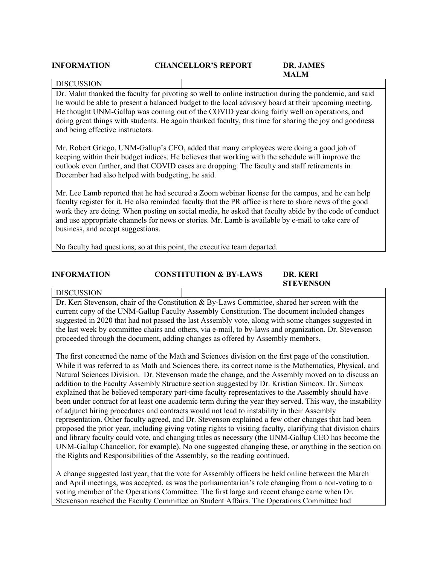### **INFORMATION CHANCELLOR'S REPORT DR. JAMES**

# **MALM**

**STEVENSON**

## DISCUSSION

Dr. Malm thanked the faculty for pivoting so well to online instruction during the pandemic, and said he would be able to present a balanced budget to the local advisory board at their upcoming meeting. He thought UNM-Gallup was coming out of the COVID year doing fairly well on operations, and doing great things with students. He again thanked faculty, this time for sharing the joy and goodness and being effective instructors.

Mr. Robert Griego, UNM-Gallup's CFO, added that many employees were doing a good job of keeping within their budget indices. He believes that working with the schedule will improve the outlook even further, and that COVID cases are dropping. The faculty and staff retirements in December had also helped with budgeting, he said.

Mr. Lee Lamb reported that he had secured a Zoom webinar license for the campus, and he can help faculty register for it. He also reminded faculty that the PR office is there to share news of the good work they are doing. When posting on social media, he asked that faculty abide by the code of conduct and use appropriate channels for news or stories. Mr. Lamb is available by e-mail to take care of business, and accept suggestions.

No faculty had questions, so at this point, the executive team departed.

# **INFORMATION CONSTITUTION & BY-LAWS DR. KERI**

## **DISCUSSION**

Dr. Keri Stevenson, chair of the Constitution & By-Laws Committee, shared her screen with the current copy of the UNM-Gallup Faculty Assembly Constitution. The document included changes suggested in 2020 that had not passed the last Assembly vote, along with some changes suggested in the last week by committee chairs and others, via e-mail, to by-laws and organization. Dr. Stevenson proceeded through the document, adding changes as offered by Assembly members.

The first concerned the name of the Math and Sciences division on the first page of the constitution. While it was referred to as Math and Sciences there, its correct name is the Mathematics, Physical, and Natural Sciences Division. Dr. Stevenson made the change, and the Assembly moved on to discuss an addition to the Faculty Assembly Structure section suggested by Dr. Kristian Simcox. Dr. Simcox explained that he believed temporary part-time faculty representatives to the Assembly should have been under contract for at least one academic term during the year they served. This way, the instability of adjunct hiring procedures and contracts would not lead to instability in their Assembly representation. Other faculty agreed, and Dr. Stevenson explained a few other changes that had been proposed the prior year, including giving voting rights to visiting faculty, clarifying that division chairs and library faculty could vote, and changing titles as necessary (the UNM-Gallup CEO has become the UNM-Gallup Chancellor, for example). No one suggested changing these, or anything in the section on the Rights and Responsibilities of the Assembly, so the reading continued.

A change suggested last year, that the vote for Assembly officers be held online between the March and April meetings, was accepted, as was the parliamentarian's role changing from a non-voting to a voting member of the Operations Committee. The first large and recent change came when Dr. Stevenson reached the Faculty Committee on Student Affairs. The Operations Committee had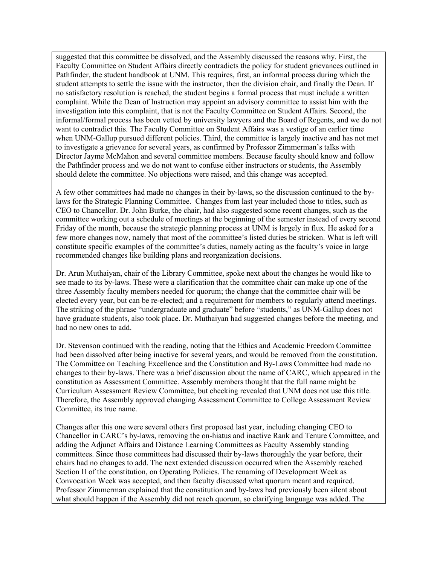suggested that this committee be dissolved, and the Assembly discussed the reasons why. First, the Faculty Committee on Student Affairs directly contradicts the policy for student grievances outlined in Pathfinder, the student handbook at UNM. This requires, first, an informal process during which the student attempts to settle the issue with the instructor, then the division chair, and finally the Dean. If no satisfactory resolution is reached, the student begins a formal process that must include a written complaint. While the Dean of Instruction may appoint an advisory committee to assist him with the investigation into this complaint, that is not the Faculty Committee on Student Affairs. Second, the informal/formal process has been vetted by university lawyers and the Board of Regents, and we do not want to contradict this. The Faculty Committee on Student Affairs was a vestige of an earlier time when UNM-Gallup pursued different policies. Third, the committee is largely inactive and has not met to investigate a grievance for several years, as confirmed by Professor Zimmerman's talks with Director Jayme McMahon and several committee members. Because faculty should know and follow the Pathfinder process and we do not want to confuse either instructors or students, the Assembly should delete the committee. No objections were raised, and this change was accepted.

A few other committees had made no changes in their by-laws, so the discussion continued to the bylaws for the Strategic Planning Committee. Changes from last year included those to titles, such as CEO to Chancellor. Dr. John Burke, the chair, had also suggested some recent changes, such as the committee working out a schedule of meetings at the beginning of the semester instead of every second Friday of the month, because the strategic planning process at UNM is largely in flux. He asked for a few more changes now, namely that most of the committee's listed duties be stricken. What is left will constitute specific examples of the committee's duties, namely acting as the faculty's voice in large recommended changes like building plans and reorganization decisions.

Dr. Arun Muthaiyan, chair of the Library Committee, spoke next about the changes he would like to see made to its by-laws. These were a clarification that the committee chair can make up one of the three Assembly faculty members needed for quorum; the change that the committee chair will be elected every year, but can be re-elected; and a requirement for members to regularly attend meetings. The striking of the phrase "undergraduate and graduate" before "students," as UNM-Gallup does not have graduate students, also took place. Dr. Muthaiyan had suggested changes before the meeting, and had no new ones to add.

Dr. Stevenson continued with the reading, noting that the Ethics and Academic Freedom Committee had been dissolved after being inactive for several years, and would be removed from the constitution. The Committee on Teaching Excellence and the Constitution and By-Laws Committee had made no changes to their by-laws. There was a brief discussion about the name of CARC, which appeared in the constitution as Assessment Committee. Assembly members thought that the full name might be Curriculum Assessment Review Committee, but checking revealed that UNM does not use this title. Therefore, the Assembly approved changing Assessment Committee to College Assessment Review Committee, its true name.

Changes after this one were several others first proposed last year, including changing CEO to Chancellor in CARC's by-laws, removing the on-hiatus and inactive Rank and Tenure Committee, and adding the Adjunct Affairs and Distance Learning Committees as Faculty Assembly standing committees. Since those committees had discussed their by-laws thoroughly the year before, their chairs had no changes to add. The next extended discussion occurred when the Assembly reached Section II of the constitution, on Operating Policies. The renaming of Development Week as Convocation Week was accepted, and then faculty discussed what quorum meant and required. Professor Zimmerman explained that the constitution and by-laws had previously been silent about what should happen if the Assembly did not reach quorum, so clarifying language was added. The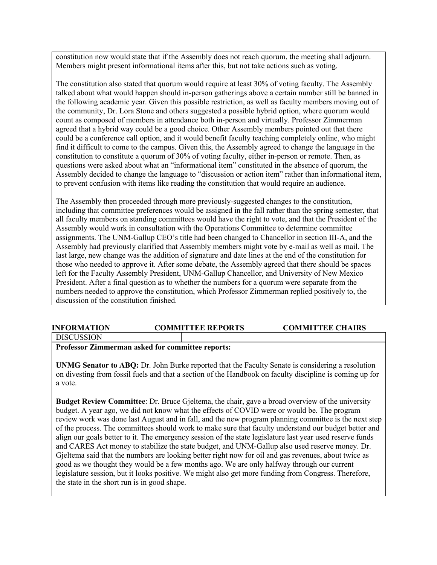constitution now would state that if the Assembly does not reach quorum, the meeting shall adjourn. Members might present informational items after this, but not take actions such as voting.

The constitution also stated that quorum would require at least 30% of voting faculty. The Assembly talked about what would happen should in-person gatherings above a certain number still be banned in the following academic year. Given this possible restriction, as well as faculty members moving out of the community, Dr. Lora Stone and others suggested a possible hybrid option, where quorum would count as composed of members in attendance both in-person and virtually. Professor Zimmerman agreed that a hybrid way could be a good choice. Other Assembly members pointed out that there could be a conference call option, and it would benefit faculty teaching completely online, who might find it difficult to come to the campus. Given this, the Assembly agreed to change the language in the constitution to constitute a quorum of 30% of voting faculty, either in-person or remote. Then, as questions were asked about what an "informational item" constituted in the absence of quorum, the Assembly decided to change the language to "discussion or action item" rather than informational item, to prevent confusion with items like reading the constitution that would require an audience.

The Assembly then proceeded through more previously-suggested changes to the constitution, including that committee preferences would be assigned in the fall rather than the spring semester, that all faculty members on standing committees would have the right to vote, and that the President of the Assembly would work in consultation with the Operations Committee to determine committee assignments. The UNM-Gallup CEO's title had been changed to Chancellor in section III-A, and the Assembly had previously clarified that Assembly members might vote by e-mail as well as mail. The last large, new change was the addition of signature and date lines at the end of the constitution for those who needed to approve it. After some debate, the Assembly agreed that there should be spaces left for the Faculty Assembly President, UNM-Gallup Chancellor, and University of New Mexico President. After a final question as to whether the numbers for a quorum were separate from the numbers needed to approve the constitution, which Professor Zimmerman replied positively to, the discussion of the constitution finished.

## **INFORMATION COMMITTEE REPORTS COMMITTEE CHAIRS**

DISCUSSION

# **Professor Zimmerman asked for committee reports:**

**UNMG Senator to ABQ:** Dr. John Burke reported that the Faculty Senate is considering a resolution on divesting from fossil fuels and that a section of the Handbook on faculty discipline is coming up for a vote.

**Budget Review Committee**: Dr. Bruce Gjeltema, the chair, gave a broad overview of the university budget. A year ago, we did not know what the effects of COVID were or would be. The program review work was done last August and in fall, and the new program planning committee is the next step of the process. The committees should work to make sure that faculty understand our budget better and align our goals better to it. The emergency session of the state legislature last year used reserve funds and CARES Act money to stabilize the state budget, and UNM-Gallup also used reserve money. Dr. Gjeltema said that the numbers are looking better right now for oil and gas revenues, about twice as good as we thought they would be a few months ago. We are only halfway through our current legislature session, but it looks positive. We might also get more funding from Congress. Therefore, the state in the short run is in good shape.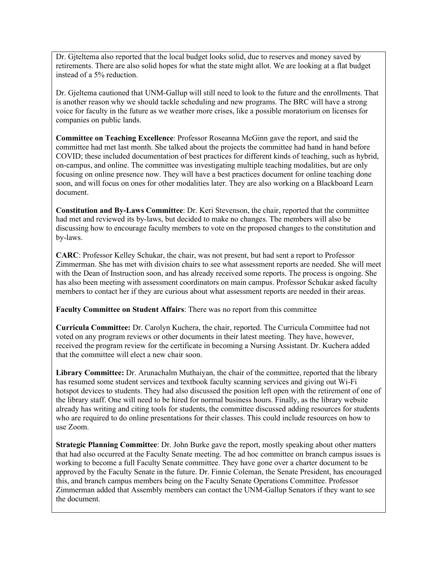Dr. Gjteltema also reported that the local budget looks solid, due to reserves and money saved by retirements. There are also solid hopes for what the state might allot. We are looking at a flat budget instead of a 5% reduction.

Dr. Gjeltema cautioned that UNM-Gallup will still need to look to the future and the enrollments. That is another reason why we should tackle scheduling and new programs. The BRC will have a strong voice for faculty in the future as we weather more crises, like a possible moratorium on licenses for companies on public lands.

**Committee on Teaching Excellence**: Professor Roseanna McGinn gave the report, and said the committee had met last month. She talked about the projects the committee had hand in hand before COVID; these included documentation of best practices for different kinds of teaching, such as hybrid, on-campus, and online. The committee was investigating multiple teaching modalities, but are only focusing on online presence now. They will have a best practices document for online teaching done soon, and will focus on ones for other modalities later. They are also working on a Blackboard Learn document.

**Constitution and By-Laws Committee**: Dr. Keri Stevenson, the chair, reported that the committee had met and reviewed its by-laws, but decided to make no changes. The members will also be discussing how to encourage faculty members to vote on the proposed changes to the constitution and by-laws.

**CARC**: Professor Kelley Schukar, the chair, was not present, but had sent a report to Professor Zimmerman. She has met with division chairs to see what assessment reports are needed. She will meet with the Dean of Instruction soon, and has already received some reports. The process is ongoing. She has also been meeting with assessment coordinators on main campus. Professor Schukar asked faculty members to contact her if they are curious about what assessment reports are needed in their areas.

**Faculty Committee on Student Affairs**: There was no report from this committee

**Curricula Committee:** Dr. Carolyn Kuchera, the chair, reported. The Curricula Committee had not voted on any program reviews or other documents in their latest meeting. They have, however, received the program review for the certificate in becoming a Nursing Assistant. Dr. Kuchera added that the committee will elect a new chair soon.

**Library Committee:** Dr. Arunachalm Muthaiyan, the chair of the committee, reported that the library has resumed some student services and textbook faculty scanning services and giving out Wi-Fi hotspot devices to students. They had also discussed the position left open with the retirement of one of the library staff. One will need to be hired for normal business hours. Finally, as the library website already has writing and citing tools for students, the committee discussed adding resources for students who are required to do online presentations for their classes. This could include resources on how to use Zoom.

**Strategic Planning Committee**: Dr. John Burke gave the report, mostly speaking about other matters that had also occurred at the Faculty Senate meeting. The ad hoc committee on branch campus issues is working to become a full Faculty Senate committee. They have gone over a charter document to be approved by the Faculty Senate in the future. Dr. Finnie Coleman, the Senate President, has encouraged this, and branch campus members being on the Faculty Senate Operations Committee. Professor Zimmerman added that Assembly members can contact the UNM-Gallup Senators if they want to see the document.